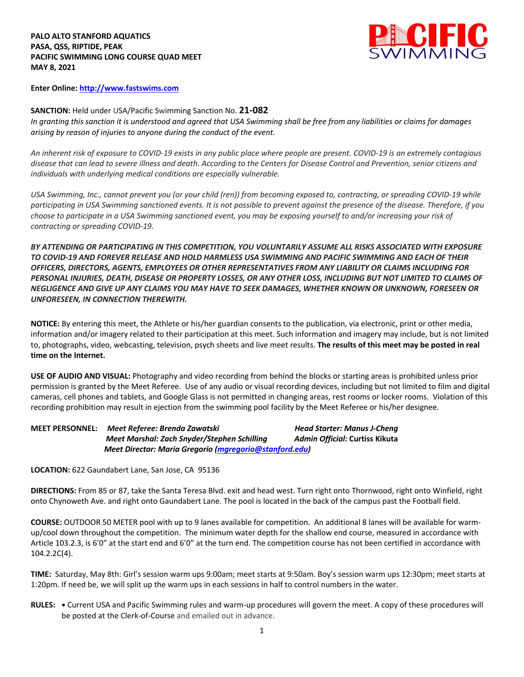**PALO ALTO STANFORD AQUATICS PASA, QSS, RIPTIDE, PEAK PACIFIC SWIMMING LONG COURSE QUAD MEET MAY 8, 2021**



**Enter Online: http://www.fastswims.com**

**SANCTION:** Held under USA/Pacific Swimming Sanction No. **21-082** *In granting this sanction it is understood and agreed that USA Swimming shall be free from any liabilities or claims for damages arising by reason of injuries to anyone during the conduct of the event.* 

*An inherent risk of exposure to COVID-19 exists in any public place where people are present. COVID-19 is an extremely contagious disease that can lead to severe illness and death. According to the Centers for Disease Control and Prevention, senior citizens and individuals with underlying medical conditions are especially vulnerable.*

*USA Swimming, Inc., cannot prevent you (or your child (ren)) from becoming exposed to, contracting, or spreading COVID-19 while participating in USA Swimming sanctioned events. It is not possible to prevent against the presence of the disease. Therefore, if you choose to participate in a USA Swimming sanctioned event, you may be exposing yourself to and/or increasing your risk of contracting or spreading COVID-19.*

*BY ATTENDING OR PARTICIPATING IN THIS COMPETITION, YOU VOLUNTARILY ASSUME ALL RISKS ASSOCIATED WITH EXPOSURE TO COVID-19 AND FOREVER RELEASE AND HOLD HARMLESS USA SWIMMING AND PACIFIC SWIMMING AND EACH OF THEIR OFFICERS, DIRECTORS, AGENTS, EMPLOYEES OR OTHER REPRESENTATIVES FROM ANY LIABILITY OR CLAIMS INCLUDING FOR PERSONAL INJURIES, DEATH, DISEASE OR PROPERTY LOSSES, OR ANY OTHER LOSS, INCLUDING BUT NOT LIMITED TO CLAIMS OF NEGLIGENCE AND GIVE UP ANY CLAIMS YOU MAY HAVE TO SEEK DAMAGES, WHETHER KNOWN OR UNKNOWN, FORESEEN OR UNFORESEEN, IN CONNECTION THEREWITH.*

**NOTICE:** By entering this meet, the Athlete or his/her guardian consents to the publication, via electronic, print or other media, information and/or imagery related to their participation at this meet. Such information and imagery may include, but is not limited to, photographs, video, webcasting, television, psych sheets and live meet results. **The results of this meet may be posted in real time on the Internet.**

**USE OF AUDIO AND VISUAL:** Photography and video recording from behind the blocks or starting areas is prohibited unless prior permission is granted by the Meet Referee. Use of any audio or visual recording devices, including but not limited to film and digital cameras, cell phones and tablets, and Google Glass is not permitted in changing areas, rest rooms or locker rooms. Violation of this recording prohibition may result in ejection from the swimming pool facility by the Meet Referee or his/her designee.

| <b>MEET PERSONNEL:</b> | Meet Referee: Brenda Zawatski                          | <b>Head Starter: Manus J-Cheng</b> |  |
|------------------------|--------------------------------------------------------|------------------------------------|--|
|                        | Meet Marshal: Zach Snyder/Stephen Schilling            | Admin Official: Curtiss Kikuta     |  |
|                        | Meet Director: Maria Gregorio (mgregorio@stanford.edu) |                                    |  |

**LOCATION:** 622 Gaundabert Lane, San Jose, CA 95136

**DIRECTIONS:** From 85 or 87, take the Santa Teresa Blvd. exit and head west. Turn right onto Thornwood, right onto Winfield, right onto Chynoweth Ave. and right onto Gaundabert Lane. The pool is located in the back of the campus past the Football field.

**COURSE:** OUTDOOR 50 METER pool with up to 9 lanes available for competition. An additional 8 lanes will be available for warmup/cool down throughout the competition. The minimum water depth for the shallow end course, measured in accordance with Article 103.2.3, is 6'0" at the start end and 6'0" at the turn end. The competition course has not been certified in accordance with 104.2.2C(4).

**TIME:** Saturday, May 8th: Girl's session warm ups 9:00am; meet starts at 9:50am. Boy's session warm ups 12:30pm; meet starts at 1:20pm. If need be, we will split up the warm ups in each sessions in half to control numbers in the water.

**RULES: •** Current USA and Pacific Swimming rules and warm-up procedures will govern the meet. A copy of these procedures will be posted at the Clerk-of-Course and emailed out in advance.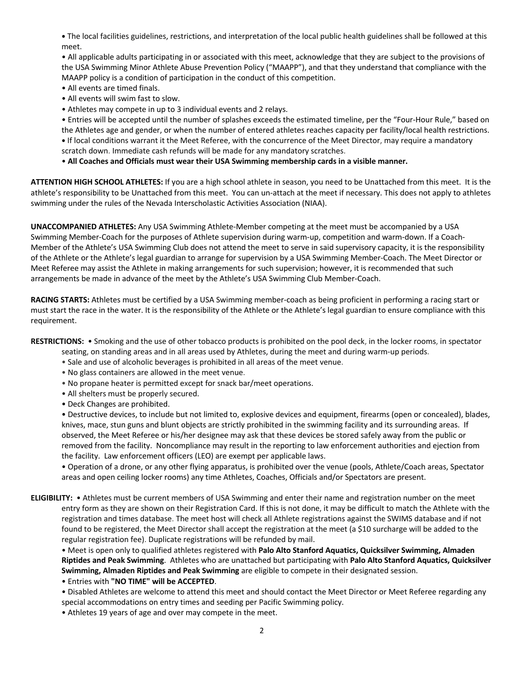**•** The local facilities guidelines, restrictions, and interpretation of the local public health guidelines shall be followed at this meet.

• All applicable adults participating in or associated with this meet, acknowledge that they are subject to the provisions of the USA Swimming Minor Athlete Abuse Prevention Policy ("MAAPP"), and that they understand that compliance with the MAAPP policy is a condition of participation in the conduct of this competition.

- All events are timed finals.
- All events will swim fast to slow.
- Athletes may compete in up to 3 individual events and 2 relays.

• Entries will be accepted until the number of splashes exceeds the estimated timeline, per the "Four-Hour Rule," based on the Athletes age and gender, or when the number of entered athletes reaches capacity per facility/local health restrictions. **•** If local conditions warrant it the Meet Referee, with the concurrence of the Meet Director, may require a mandatory scratch down. Immediate cash refunds will be made for any mandatory scratches.

• **All Coaches and Officials must wear their USA Swimming membership cards in a visible manner.** 

**ATTENTION HIGH SCHOOL ATHLETES:** If you are a high school athlete in season, you need to be Unattached from this meet. It is the athlete's responsibility to be Unattached from this meet. You can un-attach at the meet if necessary. This does not apply to athletes swimming under the rules of the Nevada Interscholastic Activities Association (NIAA).

**UNACCOMPANIED ATHLETES:** Any USA Swimming Athlete-Member competing at the meet must be accompanied by a USA Swimming Member-Coach for the purposes of Athlete supervision during warm-up, competition and warm-down. If a Coach-Member of the Athlete's USA Swimming Club does not attend the meet to serve in said supervisory capacity, it is the responsibility of the Athlete or the Athlete's legal guardian to arrange for supervision by a USA Swimming Member-Coach. The Meet Director or Meet Referee may assist the Athlete in making arrangements for such supervision; however, it is recommended that such arrangements be made in advance of the meet by the Athlete's USA Swimming Club Member-Coach.

**RACING STARTS:** Athletes must be certified by a USA Swimming member-coach as being proficient in performing a racing start or must start the race in the water. It is the responsibility of the Athlete or the Athlete's legal guardian to ensure compliance with this requirement.

**RESTRICTIONS:** • Smoking and the use of other tobacco products is prohibited on the pool deck, in the locker rooms, in spectator

- seating, on standing areas and in all areas used by Athletes, during the meet and during warm-up periods.
- Sale and use of alcoholic beverages is prohibited in all areas of the meet venue.
- No glass containers are allowed in the meet venue.
- No propane heater is permitted except for snack bar/meet operations.
- All shelters must be properly secured.
- Deck Changes are prohibited.

• Destructive devices, to include but not limited to, explosive devices and equipment, firearms (open or concealed), blades, knives, mace, stun guns and blunt objects are strictly prohibited in the swimming facility and its surrounding areas. If observed, the Meet Referee or his/her designee may ask that these devices be stored safely away from the public or removed from the facility. Noncompliance may result in the reporting to law enforcement authorities and ejection from the facility. Law enforcement officers (LEO) are exempt per applicable laws.

• Operation of a drone, or any other flying apparatus, is prohibited over the venue (pools, Athlete/Coach areas, Spectator areas and open ceiling locker rooms) any time Athletes, Coaches, Officials and/or Spectators are present.

**ELIGIBILITY:** • Athletes must be current members of USA Swimming and enter their name and registration number on the meet entry form as they are shown on their Registration Card. If this is not done, it may be difficult to match the Athlete with the registration and times database. The meet host will check all Athlete registrations against the SWIMS database and if not found to be registered, the Meet Director shall accept the registration at the meet (a \$10 surcharge will be added to the regular registration fee). Duplicate registrations will be refunded by mail.

• Meet is open only to qualified athletes registered with **Palo Alto Stanford Aquatics, Quicksilver Swimming, Almaden Riptides and Peak Swimming**. Athletes who are unattached but participating with **Palo Alto Stanford Aquatics, Quicksilver Swimming, Almaden Riptides and Peak Swimming** are eligible to compete in their designated session.

• Entries with **"NO TIME" will be ACCEPTED**.

• Disabled Athletes are welcome to attend this meet and should contact the Meet Director or Meet Referee regarding any special accommodations on entry times and seeding per Pacific Swimming policy.

• Athletes 19 years of age and over may compete in the meet.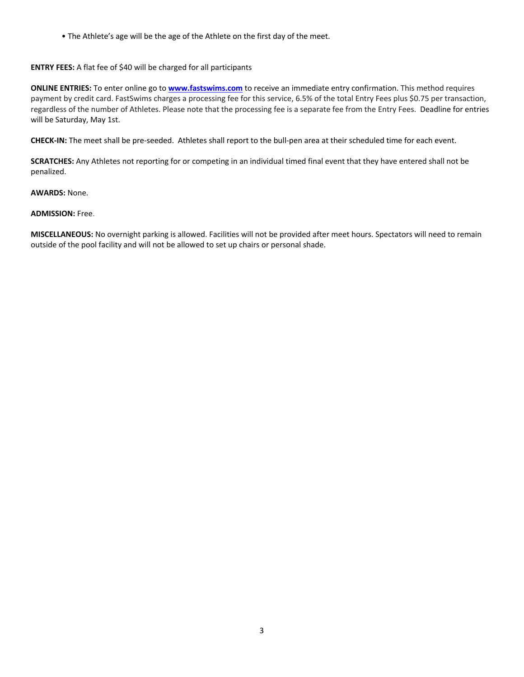• The Athlete's age will be the age of the Athlete on the first day of the meet.

## **ENTRY FEES:** A flat fee of \$40 will be charged for all participants

**ONLINE ENTRIES:** To enter online go to **www.fastswims.com** to receive an immediate entry confirmation. This method requires payment by credit card. FastSwims charges a processing fee for this service, 6.5% of the total Entry Fees plus \$0.75 per transaction, regardless of the number of Athletes. Please note that the processing fee is a separate fee from the Entry Fees. Deadline for entries will be Saturday, May 1st.

**CHECK-IN:** The meet shall be pre-seeded. Athletes shall report to the bull-pen area at their scheduled time for each event.

**SCRATCHES:** Any Athletes not reporting for or competing in an individual timed final event that they have entered shall not be penalized.

## **AWARDS:** None.

### **ADMISSION:** Free.

**MISCELLANEOUS:** No overnight parking is allowed. Facilities will not be provided after meet hours. Spectators will need to remain outside of the pool facility and will not be allowed to set up chairs or personal shade.